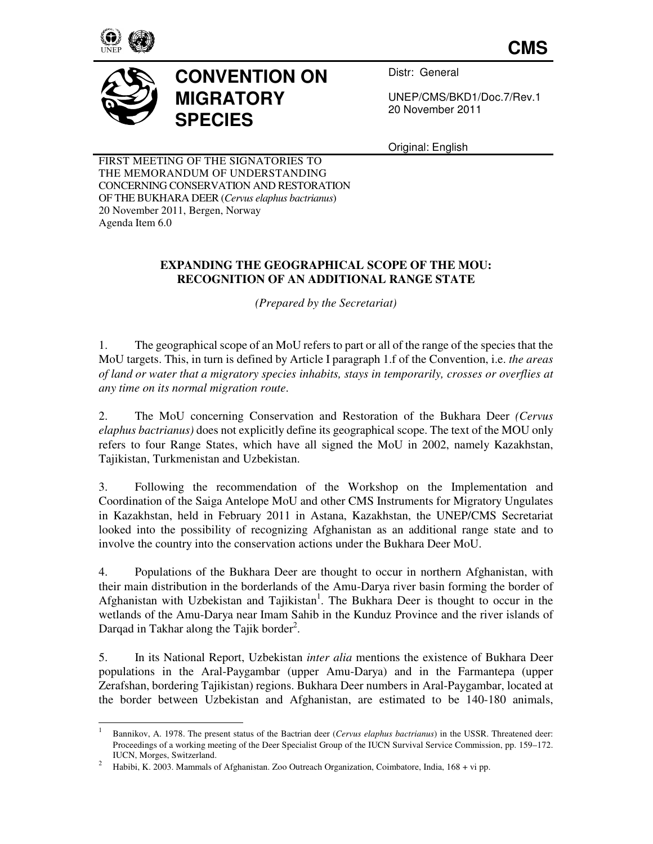

 $\overline{a}$ 

**CMS**



## **CONVENTION ON MIGRATORY SPECIES**

Distr: General

UNEP/CMS/BKD1/Doc.7/Rev.1 20 November 2011

Original: English

FIRST MEETING OF THE SIGNATORIES TO THE MEMORANDUM OF UNDERSTANDING CONCERNING CONSERVATION AND RESTORATION OF THE BUKHARA DEER (*Cervus elaphus bactrianus*) 20 November 2011, Bergen, Norway Agenda Item 6.0

## **EXPANDING THE GEOGRAPHICAL SCOPE OF THE MOU: RECOGNITION OF AN ADDITIONAL RANGE STATE**

*(Prepared by the Secretariat)* 

1. The geographical scope of an MoU refers to part or all of the range of the species that the MoU targets. This, in turn is defined by Article I paragraph 1.f of the Convention, i.e. *the areas of land or water that a migratory species inhabits, stays in temporarily, crosses or overflies at any time on its normal migration route*.

2. The MoU concerning Conservation and Restoration of the Bukhara Deer *(Cervus elaphus bactrianus)* does not explicitly define its geographical scope. The text of the MOU only refers to four Range States, which have all signed the MoU in 2002, namely Kazakhstan, Tajikistan, Turkmenistan and Uzbekistan.

3. Following the recommendation of the Workshop on the Implementation and Coordination of the Saiga Antelope MoU and other CMS Instruments for Migratory Ungulates in Kazakhstan, held in February 2011 in Astana, Kazakhstan, the UNEP/CMS Secretariat looked into the possibility of recognizing Afghanistan as an additional range state and to involve the country into the conservation actions under the Bukhara Deer MoU.

4. Populations of the Bukhara Deer are thought to occur in northern Afghanistan, with their main distribution in the borderlands of the Amu-Darya river basin forming the border of Afghanistan with Uzbekistan and Tajikistan<sup>1</sup>. The Bukhara Deer is thought to occur in the wetlands of the Amu-Darya near Imam Sahib in the Kunduz Province and the river islands of Darqad in Takhar along the Tajik border<sup>2</sup>.

5. In its National Report, Uzbekistan *inter alia* mentions the existence of Bukhara Deer populations in the Aral-Paygambar (upper Amu-Darya) and in the Farmantepa (upper Zerafshan, bordering Tajikistan) regions. Bukhara Deer numbers in Aral-Paygambar, located at the border between Uzbekistan and Afghanistan, are estimated to be 140-180 animals,

<sup>1</sup>Bannikov, A. 1978. The present status of the Bactrian deer (*Cervus elaphus bactrianus*) in the USSR. Threatened deer: Proceedings of a working meeting of the Deer Specialist Group of the IUCN Survival Service Commission, pp. 159–172. IUCN, Morges, Switzerland.

<sup>2</sup> Habibi, K. 2003. Mammals of Afghanistan. Zoo Outreach Organization, Coimbatore, India, 168 + vi pp.